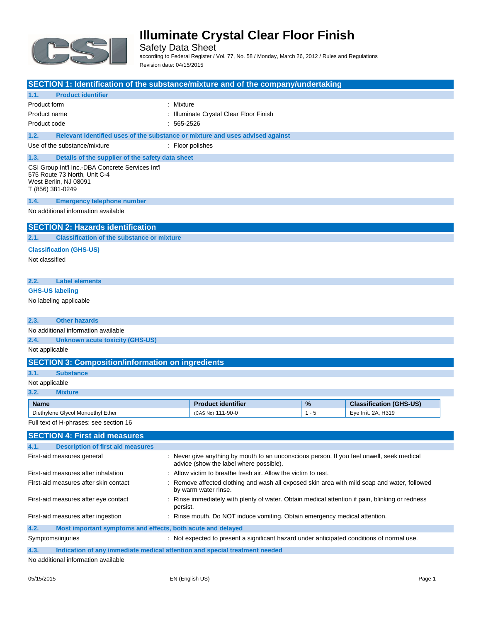

Safety Data Sheet according to Federal Register / Vol. 77, No. 58 / Monday, March 26, 2012 / Rules and Regulations Revision date: 04/15/2015

| SECTION 1: Identification of the substance/mixture and of the company/undertaking                                                                                  |                                                                                                                               |                                                                                                 |                                         |         |                                |
|--------------------------------------------------------------------------------------------------------------------------------------------------------------------|-------------------------------------------------------------------------------------------------------------------------------|-------------------------------------------------------------------------------------------------|-----------------------------------------|---------|--------------------------------|
| 1.1.                                                                                                                                                               | <b>Product identifier</b>                                                                                                     |                                                                                                 |                                         |         |                                |
| Product form                                                                                                                                                       |                                                                                                                               | : Mixture                                                                                       |                                         |         |                                |
| Product name                                                                                                                                                       |                                                                                                                               |                                                                                                 | : Illuminate Crystal Clear Floor Finish |         |                                |
| Product code                                                                                                                                                       |                                                                                                                               | $: 565-2526$                                                                                    |                                         |         |                                |
| 1.2.                                                                                                                                                               | Relevant identified uses of the substance or mixture and uses advised against                                                 |                                                                                                 |                                         |         |                                |
|                                                                                                                                                                    | Use of the substance/mixture                                                                                                  |                                                                                                 | : Floor polishes                        |         |                                |
| 1.3.                                                                                                                                                               | Details of the supplier of the safety data sheet                                                                              |                                                                                                 |                                         |         |                                |
|                                                                                                                                                                    | CSI Group Int'l Inc.-DBA Concrete Services Int'l<br>575 Route 73 North, Unit C-4<br>West Berlin, NJ 08091<br>T (856) 381-0249 |                                                                                                 |                                         |         |                                |
| 1.4.                                                                                                                                                               | <b>Emergency telephone number</b>                                                                                             |                                                                                                 |                                         |         |                                |
|                                                                                                                                                                    | No additional information available                                                                                           |                                                                                                 |                                         |         |                                |
|                                                                                                                                                                    | <b>SECTION 2: Hazards identification</b>                                                                                      |                                                                                                 |                                         |         |                                |
| 2.1.                                                                                                                                                               | <b>Classification of the substance or mixture</b>                                                                             |                                                                                                 |                                         |         |                                |
| Not classified                                                                                                                                                     | <b>Classification (GHS-US)</b>                                                                                                |                                                                                                 |                                         |         |                                |
| 2.2.                                                                                                                                                               | <b>Label elements</b>                                                                                                         |                                                                                                 |                                         |         |                                |
|                                                                                                                                                                    | <b>GHS-US labeling</b>                                                                                                        |                                                                                                 |                                         |         |                                |
|                                                                                                                                                                    | No labeling applicable                                                                                                        |                                                                                                 |                                         |         |                                |
| 2.3.                                                                                                                                                               | <b>Other hazards</b>                                                                                                          |                                                                                                 |                                         |         |                                |
|                                                                                                                                                                    | No additional information available                                                                                           |                                                                                                 |                                         |         |                                |
| 2.4.                                                                                                                                                               | <b>Unknown acute toxicity (GHS-US)</b>                                                                                        |                                                                                                 |                                         |         |                                |
| Not applicable                                                                                                                                                     |                                                                                                                               |                                                                                                 |                                         |         |                                |
|                                                                                                                                                                    | <b>SECTION 3: Composition/information on ingredients</b>                                                                      |                                                                                                 |                                         |         |                                |
| 3.1.                                                                                                                                                               | <b>Substance</b>                                                                                                              |                                                                                                 |                                         |         |                                |
| Not applicable                                                                                                                                                     |                                                                                                                               |                                                                                                 |                                         |         |                                |
| 3.2.                                                                                                                                                               | <b>Mixture</b>                                                                                                                |                                                                                                 |                                         |         |                                |
| <b>Name</b>                                                                                                                                                        |                                                                                                                               |                                                                                                 | <b>Product identifier</b>               | %       | <b>Classification (GHS-US)</b> |
|                                                                                                                                                                    | Diethylene Glycol Monoethyl Ether                                                                                             |                                                                                                 | (CAS No) 111-90-0                       | $1 - 5$ | Eye Irrit. 2A, H319            |
|                                                                                                                                                                    | Full text of H-phrases: see section 16                                                                                        |                                                                                                 |                                         |         |                                |
|                                                                                                                                                                    | <b>SECTION 4: First aid measures</b>                                                                                          |                                                                                                 |                                         |         |                                |
| 4.1.                                                                                                                                                               | <b>Description of first aid measures</b>                                                                                      |                                                                                                 |                                         |         |                                |
| First-aid measures general<br>: Never give anything by mouth to an unconscious person. If you feel unwell, seek medical<br>advice (show the label where possible). |                                                                                                                               |                                                                                                 |                                         |         |                                |
| : Allow victim to breathe fresh air. Allow the victim to rest.<br>First-aid measures after inhalation                                                              |                                                                                                                               |                                                                                                 |                                         |         |                                |
| First-aid measures after skin contact<br>Remove affected clothing and wash all exposed skin area with mild soap and water, followed<br>by warm water rinse.        |                                                                                                                               |                                                                                                 |                                         |         |                                |
| First-aid measures after eye contact<br>persist.                                                                                                                   |                                                                                                                               | : Rinse immediately with plenty of water. Obtain medical attention if pain, blinking or redness |                                         |         |                                |
| : Rinse mouth. Do NOT induce vomiting. Obtain emergency medical attention.<br>First-aid measures after ingestion                                                   |                                                                                                                               |                                                                                                 |                                         |         |                                |
| 4.2.<br>Most important symptoms and effects, both acute and delayed                                                                                                |                                                                                                                               |                                                                                                 |                                         |         |                                |
| Symptoms/injuries<br>: Not expected to present a significant hazard under anticipated conditions of normal use.                                                    |                                                                                                                               |                                                                                                 |                                         |         |                                |
| 4.3.                                                                                                                                                               | Indication of any immediate medical attention and special treatment needed                                                    |                                                                                                 |                                         |         |                                |
|                                                                                                                                                                    | ial information quailable                                                                                                     |                                                                                                 |                                         |         |                                |

No additional information available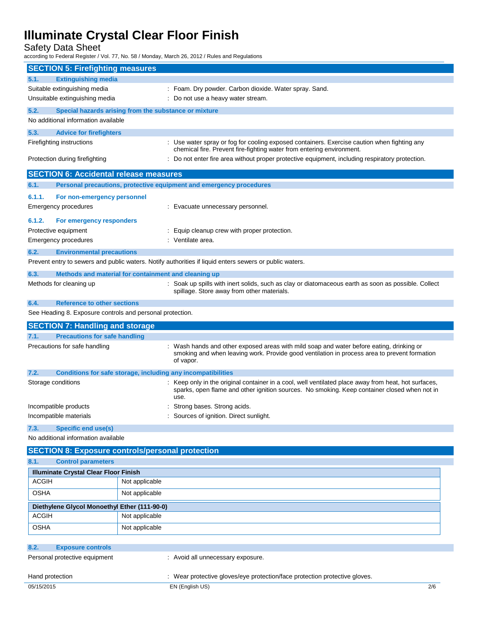Safety Data Sheet

according to Federal Register / Vol. 77, No. 58 / Monday, March 26, 2012 / Rules and Regulations

| <b>SECTION 5: Firefighting measures</b>                   |                                                                                                                                                                                                              |  |
|-----------------------------------------------------------|--------------------------------------------------------------------------------------------------------------------------------------------------------------------------------------------------------------|--|
| <b>Extinguishing media</b><br>5.1.                        |                                                                                                                                                                                                              |  |
| Suitable extinguishing media                              | : Foam. Dry powder. Carbon dioxide. Water spray. Sand.                                                                                                                                                       |  |
| Unsuitable extinguishing media                            | : Do not use a heavy water stream.                                                                                                                                                                           |  |
| 5.2.                                                      | Special hazards arising from the substance or mixture                                                                                                                                                        |  |
| No additional information available                       |                                                                                                                                                                                                              |  |
| 5.3.<br><b>Advice for firefighters</b>                    |                                                                                                                                                                                                              |  |
| Firefighting instructions                                 | : Use water spray or fog for cooling exposed containers. Exercise caution when fighting any<br>chemical fire. Prevent fire-fighting water from entering environment.                                         |  |
| Protection during firefighting                            | : Do not enter fire area without proper protective equipment, including respiratory protection.                                                                                                              |  |
| <b>SECTION 6: Accidental release measures</b>             |                                                                                                                                                                                                              |  |
| 6.1.                                                      | Personal precautions, protective equipment and emergency procedures                                                                                                                                          |  |
| 6.1.1.<br>For non-emergency personnel                     |                                                                                                                                                                                                              |  |
| Emergency procedures                                      | : Evacuate unnecessary personnel.                                                                                                                                                                            |  |
| 6.1.2.<br>For emergency responders                        |                                                                                                                                                                                                              |  |
| Protective equipment                                      | : Equip cleanup crew with proper protection.                                                                                                                                                                 |  |
| <b>Emergency procedures</b>                               | : Ventilate area.                                                                                                                                                                                            |  |
| 6.2.<br><b>Environmental precautions</b>                  |                                                                                                                                                                                                              |  |
|                                                           | Prevent entry to sewers and public waters. Notify authorities if liquid enters sewers or public waters.                                                                                                      |  |
| 6.3.                                                      | Methods and material for containment and cleaning up                                                                                                                                                         |  |
| Methods for cleaning up                                   | : Soak up spills with inert solids, such as clay or diatomaceous earth as soon as possible. Collect<br>spillage. Store away from other materials.                                                            |  |
| 6.4.<br><b>Reference to other sections</b>                |                                                                                                                                                                                                              |  |
| See Heading 8. Exposure controls and personal protection. |                                                                                                                                                                                                              |  |
| <b>SECTION 7: Handling and storage</b>                    |                                                                                                                                                                                                              |  |
| 7.1.<br><b>Precautions for safe handling</b>              |                                                                                                                                                                                                              |  |
| Precautions for safe handling                             | : Wash hands and other exposed areas with mild soap and water before eating, drinking or<br>smoking and when leaving work. Provide good ventilation in process area to prevent formation<br>of vapor.        |  |
| 7.2.                                                      | <b>Conditions for safe storage, including any incompatibilities</b>                                                                                                                                          |  |
| Storage conditions                                        | : Keep only in the original container in a cool, well ventilated place away from heat, hot surfaces,<br>sparks, open flame and other ignition sources. No smoking. Keep container closed when not in<br>use. |  |
| Incompatible products                                     | Strong bases. Strong acids.                                                                                                                                                                                  |  |
| Incompatible materials                                    | Sources of ignition. Direct sunlight.                                                                                                                                                                        |  |
| <b>Specific end use(s)</b><br>7.3.                        |                                                                                                                                                                                                              |  |
| No additional information available                       |                                                                                                                                                                                                              |  |
|                                                           | <b>SECTION 8: Exposure controls/personal protection</b>                                                                                                                                                      |  |
| <b>Control parameters</b><br>8.1.                         |                                                                                                                                                                                                              |  |
| <b>Illuminate Crystal Clear Floor Finish</b>              |                                                                                                                                                                                                              |  |
| <b>ACGIH</b>                                              | Not applicable                                                                                                                                                                                               |  |
| <b>OSHA</b>                                               | Not applicable                                                                                                                                                                                               |  |
| Diethylene Glycol Monoethyl Ether (111-90-0)              |                                                                                                                                                                                                              |  |
| <b>ACGIH</b>                                              | Not applicable                                                                                                                                                                                               |  |
| <b>OSHA</b>                                               | Not applicable                                                                                                                                                                                               |  |
|                                                           |                                                                                                                                                                                                              |  |
| 8.2.<br><b>Exposure controls</b>                          |                                                                                                                                                                                                              |  |
| Personal protective equipment                             | : Avoid all unnecessary exposure.                                                                                                                                                                            |  |
| Hand protection                                           | : Wear protective gloves/eye protection/face protection protective gloves.                                                                                                                                   |  |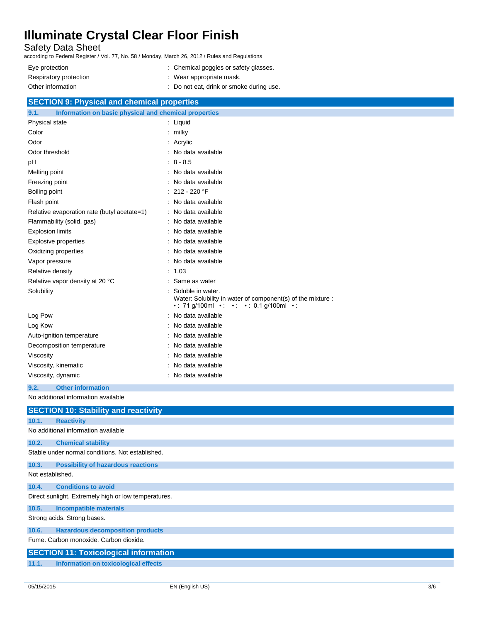Safety Data Sheet

according to Federal Register / Vol. 77, No. 58 / Monday, March 26, 2012 / Rules and Regulations

| Eye protection         | : Chemical goggles or safety glasses.    |
|------------------------|------------------------------------------|
| Respiratory protection | $\therefore$ Wear appropriate mask.      |
| Other information      | : Do not eat, drink or smoke during use. |

| <b>SECTION 9: Physical and chemical properties</b>            |                                                                                                                        |  |  |
|---------------------------------------------------------------|------------------------------------------------------------------------------------------------------------------------|--|--|
| Information on basic physical and chemical properties<br>9.1. |                                                                                                                        |  |  |
| Physical state                                                | : Liquid                                                                                                               |  |  |
| Color                                                         | milky                                                                                                                  |  |  |
| Odor                                                          | : Acrylic                                                                                                              |  |  |
| Odor threshold                                                | No data available                                                                                                      |  |  |
| pH                                                            | $8 - 8.5$                                                                                                              |  |  |
| Melting point                                                 | No data available                                                                                                      |  |  |
| Freezing point                                                | No data available                                                                                                      |  |  |
| Boiling point                                                 | $: 212 - 220$ °F                                                                                                       |  |  |
| Flash point                                                   | No data available                                                                                                      |  |  |
| Relative evaporation rate (butyl acetate=1)                   | : No data available                                                                                                    |  |  |
| Flammability (solid, gas)                                     | : No data available                                                                                                    |  |  |
| <b>Explosion limits</b>                                       | No data available                                                                                                      |  |  |
| <b>Explosive properties</b>                                   | No data available                                                                                                      |  |  |
| Oxidizing properties                                          | No data available                                                                                                      |  |  |
| Vapor pressure                                                | No data available                                                                                                      |  |  |
| Relative density                                              | 1.03                                                                                                                   |  |  |
| Relative vapor density at 20 °C                               | Same as water                                                                                                          |  |  |
| Solubility                                                    | Soluble in water.<br>Water: Solubility in water of component(s) of the mixture :<br>• 71 g/100ml • • • • 0.1 g/100ml • |  |  |
| Log Pow                                                       | : No data available                                                                                                    |  |  |
| Log Kow                                                       | No data available                                                                                                      |  |  |
| Auto-ignition temperature                                     | No data available                                                                                                      |  |  |
| Decomposition temperature                                     | No data available                                                                                                      |  |  |
| Viscosity                                                     | No data available                                                                                                      |  |  |
| Viscosity, kinematic                                          | No data available                                                                                                      |  |  |
| Viscosity, dynamic                                            | No data available                                                                                                      |  |  |
| 9.2.<br><b>Other information</b>                              |                                                                                                                        |  |  |

No additional information available

|                                                      | <b>SECTION 10: Stability and reactivity</b>      |  |  |
|------------------------------------------------------|--------------------------------------------------|--|--|
| 10.1.                                                | <b>Reactivity</b>                                |  |  |
|                                                      | No additional information available              |  |  |
| 10.2.                                                | <b>Chemical stability</b>                        |  |  |
|                                                      | Stable under normal conditions. Not established. |  |  |
| 10.3.                                                | <b>Possibility of hazardous reactions</b>        |  |  |
| Not established.                                     |                                                  |  |  |
| 10.4.                                                | <b>Conditions to avoid</b>                       |  |  |
| Direct sunlight. Extremely high or low temperatures. |                                                  |  |  |
| 10.5.                                                | <b>Incompatible materials</b>                    |  |  |
| Strong acids. Strong bases.                          |                                                  |  |  |
| 10.6.                                                | <b>Hazardous decomposition products</b>          |  |  |
|                                                      | Fume, Carbon monoxide, Carbon dioxide.           |  |  |
|                                                      | <b>SECTION 11: Toxicological information</b>     |  |  |
| 11.1.                                                | Information on toxicological effects             |  |  |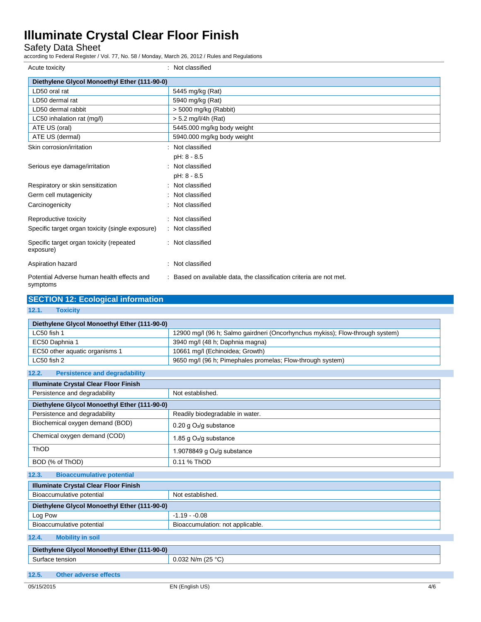Safety Data Sheet

according to Federal Register / Vol. 77, No. 58 / Monday, March 26, 2012 / Rules and Regulations

| Acute toxicity                                         | : Not classified                                                    |
|--------------------------------------------------------|---------------------------------------------------------------------|
| Diethylene Glycol Monoethyl Ether (111-90-0)           |                                                                     |
| LD50 oral rat                                          | 5445 mg/kg (Rat)                                                    |
| LD50 dermal rat                                        | 5940 mg/kg (Rat)                                                    |
| LD50 dermal rabbit                                     | $> 5000$ mg/kg (Rabbit)                                             |
| LC50 inhalation rat (mg/l)                             | $> 5.2$ mg/l/4h (Rat)                                               |
| ATE US (oral)                                          | 5445.000 mg/kg body weight                                          |
| ATE US (dermal)                                        | 5940.000 mg/kg body weight                                          |
| Skin corrosion/irritation                              | : Not classified                                                    |
|                                                        | pH: 8 - 8.5                                                         |
| Serious eye damage/irritation                          | : Not classified                                                    |
|                                                        | pH: 8 - 8.5                                                         |
| Respiratory or skin sensitization                      | : Not classified                                                    |
| Germ cell mutagenicity                                 | : Not classified                                                    |
| Carcinogenicity                                        | : Not classified                                                    |
| Reproductive toxicity                                  | : Not classified                                                    |
| Specific target organ toxicity (single exposure)       | : Not classified                                                    |
| Specific target organ toxicity (repeated<br>exposure)  | : Not classified                                                    |
| Aspiration hazard                                      | : Not classified                                                    |
| Potential Adverse human health effects and<br>symptoms | : Based on available data, the classification criteria are not met. |

| <b>SECTION 12: Ecological information</b>     |                                                                               |  |  |
|-----------------------------------------------|-------------------------------------------------------------------------------|--|--|
| 12.1.<br><b>Toxicity</b>                      |                                                                               |  |  |
| Diethylene Glycol Monoethyl Ether (111-90-0)  |                                                                               |  |  |
| LC50 fish 1                                   | 12900 mg/l (96 h; Salmo gairdneri (Oncorhynchus mykiss); Flow-through system) |  |  |
| EC50 Daphnia 1                                | 3940 mg/l (48 h; Daphnia magna)                                               |  |  |
| EC50 other aquatic organisms 1                | 10661 mg/l (Echinoidea; Growth)                                               |  |  |
| LC50 fish 2                                   | 9650 mg/l (96 h; Pimephales promelas; Flow-through system)                    |  |  |
| 12.2.<br><b>Persistence and degradability</b> |                                                                               |  |  |
| <b>Illuminate Crystal Clear Floor Finish</b>  |                                                                               |  |  |
| Persistence and degradability                 | Not established.                                                              |  |  |
| Diethylene Glycol Monoethyl Ether (111-90-0)  |                                                                               |  |  |
| Persistence and degradability                 | Readily biodegradable in water.                                               |  |  |
| Biochemical oxygen demand (BOD)               | 0.20 g O <sub>2</sub> /g substance                                            |  |  |
| Chemical oxygen demand (COD)                  | 1.85 g O <sub>2</sub> /g substance                                            |  |  |
| ThOD                                          | 1.9078849 g $O2/g$ substance                                                  |  |  |
| BOD (% of ThOD)                               | 0.11 % ThOD                                                                   |  |  |
| 12.3.<br><b>Bioaccumulative potential</b>     |                                                                               |  |  |
| <b>Illuminate Crystal Clear Floor Finish</b>  |                                                                               |  |  |
| Bioaccumulative potential                     | Not established.                                                              |  |  |
| Diethylene Glycol Monoethyl Ether (111-90-0)  |                                                                               |  |  |
| Log Pow                                       | $-1.19 - 0.08$                                                                |  |  |
| Bioaccumulative potential                     | Bioaccumulation: not applicable.                                              |  |  |
| 12.4.<br><b>Mobility in soil</b>              |                                                                               |  |  |
| Diethylene Glycol Monoethyl Ether (111-90-0)  |                                                                               |  |  |
| 0.032 N/m (25 °C)<br>Surface tension          |                                                                               |  |  |
| 40E<br>Othan advance offeets                  |                                                                               |  |  |

**12.5. Other adverse effects**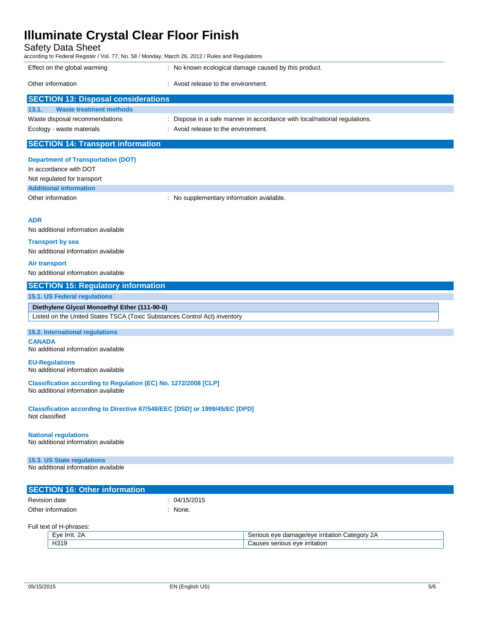Safety Data Sheet

according to Federal Register / Vol. 77, No. 58 / Monday, March 26, 2012 / Rules and Regulations

| Effect on the global warming               | : No known ecological damage caused by this product.                      |  |
|--------------------------------------------|---------------------------------------------------------------------------|--|
| Other information                          | : Avoid release to the environment.                                       |  |
| <b>SECTION 13: Disposal considerations</b> |                                                                           |  |
|                                            |                                                                           |  |
| <b>Waste treatment methods</b><br>13.1.    |                                                                           |  |
| Waste disposal recommendations             | : Dispose in a safe manner in accordance with local/national regulations. |  |
| Ecology - waste materials                  | : Avoid release to the environment.                                       |  |
|                                            |                                                                           |  |
| <b>SECTION 14: Transport information</b>   |                                                                           |  |

**Department of Transportation (DOT)** In accordance with DOT Not regulated for transport **Additional information** Other information **contracts** : No supplementary information available.

#### **ADR**

No additional information available

#### **Transport by sea**

No additional information available

#### **Air transport**

No additional information available

### **SECTION 15: Regulatory information**

### **15.1. US Federal regulations**

**Diethylene Glycol Monoethyl Ether (111-90-0)** Listed on the United States TSCA (Toxic Substances Control Act) inventory

### **15.2. International regulations**

**CANADA** No additional information available

#### **EU-Regulations**

No additional information available

**Classification according to Regulation (EC) No. 1272/2008 [CLP]** No additional information available

**Classification according to Directive 67/548/EEC [DSD] or 1999/45/EC [DPD]** Not classified

### **National regulations**

No additional information available

### **15.3. US State regulations**

No additional information available

| <b>SECTION 16: Other information</b> |            |  |
|--------------------------------------|------------|--|
| Revision date                        | 04/15/2015 |  |
| Other information                    | None.      |  |

Full text of H-phrases:

| <b>HVF</b><br>- | شatedor∨∶<br>$\sim$<br>eve<br>a/eve<br>. irritatior<br>ю<br>dar<br>⊶ner •<br>7UC<br>. . |
|-----------------|-----------------------------------------------------------------------------------------|
| 4319            | urritation.<br>eve<br>senous<br>.                                                       |